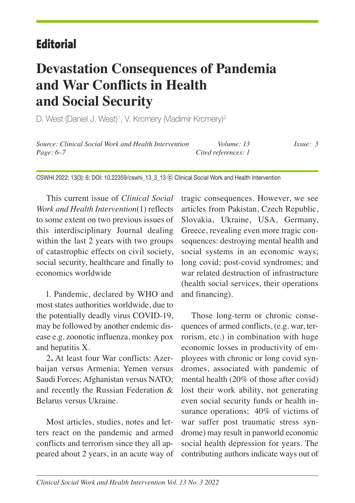## **Editorial**

# **Devastation Consequences of Pandemia and War Conflicts in Health and Social Security**

D. West (Daniel J. West) 1, V. Krcmery (Vladimir Krcmery) 2

*Source: Clinical Social Work and Health Intervention Volume: 13 Issue: 3 Page: 6–7 Cited references: 1*

CSWHI 2022; 13(3): 6; DOI: 10.22359/cswhi\_13\_3\_13 ⓒ Clinical Social Work and Health Intervention

This current issue of *Clinical Social Work and Health Intervention*(1) reflects to some extent on two previous issues of this interdisciplinary Journal dealing within the last 2 years with two groups of catastrophic effects on civil society, social security, healthcare and finally to economics worldwide

l. Pandemic, declared by WHO and most states authorities worldwide, due to the potentially deadly virus COVID-19, may be followed by another endemic disease e.g. zoonotic influenza, monkey pox and hepatitis X.

2**.** At least four War conflicts: Azerbaijan versus Armenia; Yemen versus Saudi Forces; Afghanistan versus NATO; and recently the Russian Federation & Belarus versus Ukraine.

Most articles, studies, notes and letters react on the pandemic and armed conflicts and terrorism since they all appeared about 2 years, in an acute way of tragic consequences. However, we see articles from Pakistan, Czech Republic, Slovakia, Ukraine, USA, Germany, Greece, revealing even more tragic consequences: destroying mental health and social systems in an economic ways; long covid; post-covid syndromes; and war related destruction of infrastructure (health social services, their operations and financing).

Those long-term or chronic consequences of armed conflicts, (e.g. war, terrorism, etc.) in combination with huge economic losses in productivity of employees with chronic or long covid syndromes, associated with pandemic of mental health (20% of those after covid) lost their work ability, not generating even social security funds or health insurance operations; 40% of victims of war suffer post traumatic stress syndrome) may result in panworld economic social health depression for years. The contributing authors indicate ways out of